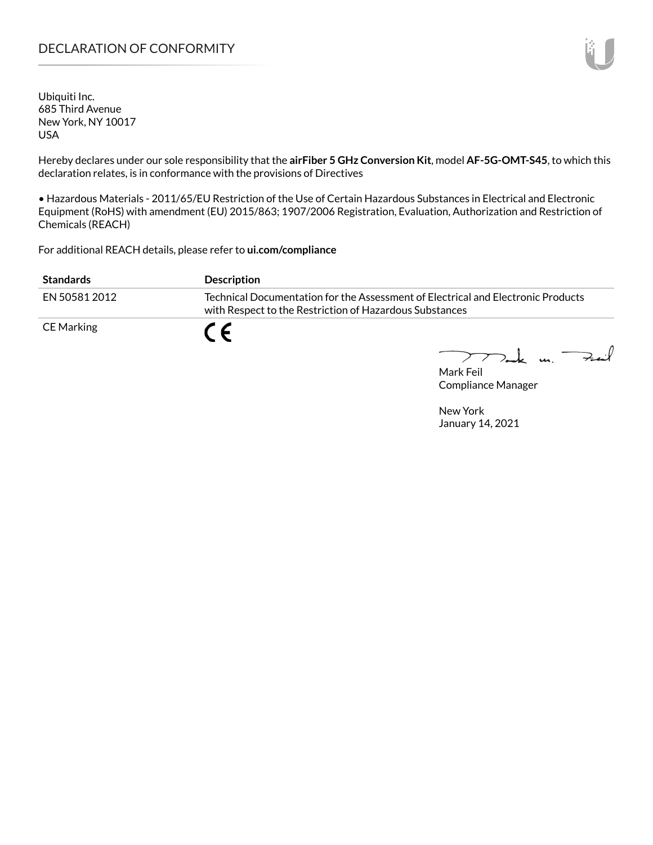# DECLARATION OF CONFORMITY

Ubiquiti Inc. 685 Third Avenue New York, NY 10017 USA

Hereby declares under our sole responsibility that the **airFiber 5 GHz Conversion Kit**, model **AF-5G-OMT-S45**, to which this declaration relates, is in conformance with the provisions of Directives

• Hazardous Materials - 2011/65/EU Restriction of the Use of Certain Hazardous Substances in Electrical and Electronic Equipment (RoHS) with amendment (EU) 2015/863; 1907/2006 Registration, Evaluation, Authorization and Restriction of Chemicals (REACH)

For additional REACH details, please refer to **[ui.com/compliance](https://www.ui.com/compliance/)**

| <b>Standards</b> | <b>Description</b>                                                                                                                          |
|------------------|---------------------------------------------------------------------------------------------------------------------------------------------|
| EN 50581 2012    | Technical Documentation for the Assessment of Electrical and Electronic Products<br>with Respect to the Restriction of Hazardous Substances |
| CE Marking       |                                                                                                                                             |

Mak un.  $\rightarrow$ int

Mark Feil Compliance Manager

New York January 14, 2021